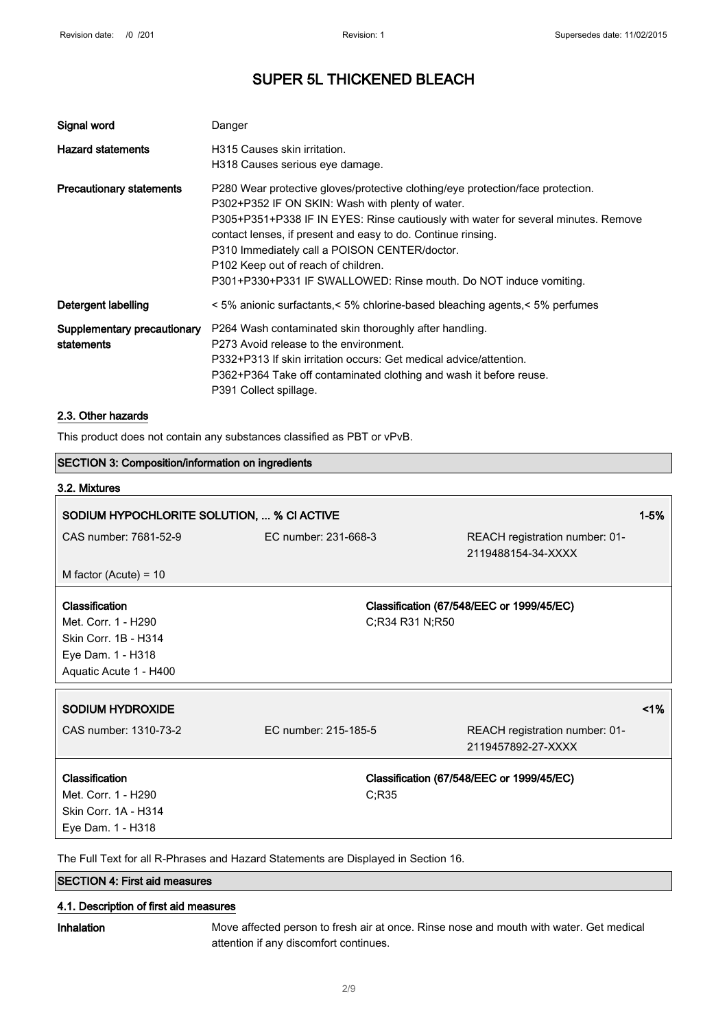| Signal word                               | Danger                                                                                                                                                                                                                                                                                                                                                                                                                                                             |
|-------------------------------------------|--------------------------------------------------------------------------------------------------------------------------------------------------------------------------------------------------------------------------------------------------------------------------------------------------------------------------------------------------------------------------------------------------------------------------------------------------------------------|
| <b>Hazard statements</b>                  | H315 Causes skin irritation.<br>H318 Causes serious eye damage.                                                                                                                                                                                                                                                                                                                                                                                                    |
| <b>Precautionary statements</b>           | P280 Wear protective gloves/protective clothing/eye protection/face protection.<br>P302+P352 IF ON SKIN: Wash with plenty of water.<br>P305+P351+P338 IF IN EYES: Rinse cautiously with water for several minutes. Remove<br>contact lenses, if present and easy to do. Continue rinsing.<br>P310 Immediately call a POISON CENTER/doctor.<br>P <sub>102</sub> Keep out of reach of children.<br>P301+P330+P331 IF SWALLOWED: Rinse mouth. Do NOT induce vomiting. |
| Detergent labelling                       | < 5% anionic surfactants,< 5% chlorine-based bleaching agents, < 5% perfumes                                                                                                                                                                                                                                                                                                                                                                                       |
| Supplementary precautionary<br>statements | P264 Wash contaminated skin thoroughly after handling.<br>P273 Avoid release to the environment.<br>P332+P313 If skin irritation occurs: Get medical advice/attention.<br>P362+P364 Take off contaminated clothing and wash it before reuse.<br>P391 Collect spillage.                                                                                                                                                                                             |

#### 2.3. Other hazards

This product does not contain any substances classified as PBT or vPvB.

| <b>SECTION 3: Composition/information on ingredients</b>      |                                                                                    |                                                      |          |
|---------------------------------------------------------------|------------------------------------------------------------------------------------|------------------------------------------------------|----------|
| 3.2. Mixtures                                                 |                                                                                    |                                                      |          |
| SODIUM HYPOCHLORITE SOLUTION,  % CI ACTIVE                    |                                                                                    |                                                      | $1 - 5%$ |
| CAS number: 7681-52-9                                         | EC number: 231-668-3                                                               | REACH registration number: 01-<br>2119488154-34-XXXX |          |
| M factor (Acute) = $10$                                       |                                                                                    |                                                      |          |
| Classification<br>Met. Corr. 1 - H290<br>Skin Corr. 1B - H314 | C;R34 R31 N;R50                                                                    | Classification (67/548/EEC or 1999/45/EC)            |          |
| Eye Dam. 1 - H318<br>Aquatic Acute 1 - H400                   |                                                                                    |                                                      |          |
| <b>SODIUM HYDROXIDE</b>                                       |                                                                                    |                                                      | 1%       |
| CAS number: 1310-73-2                                         | EC number: 215-185-5                                                               | REACH registration number: 01-<br>2119457892-27-XXXX |          |
| Classification                                                |                                                                                    | Classification (67/548/EEC or 1999/45/EC)            |          |
| Met. Corr. 1 - H290                                           | C;R35                                                                              |                                                      |          |
| Skin Corr. 1A - H314                                          |                                                                                    |                                                      |          |
| Eye Dam. 1 - H318                                             |                                                                                    |                                                      |          |
|                                                               | The Full Text for all D. Dhrease and Hezerd Statements are Dieployed in Section 16 |                                                      |          |

The Full Text for all R-Phrases and Hazard Statements are Displayed in Section 16.

#### SECTION 4: First aid measures

#### 4.1. Description of first aid measures

Inhalation Move affected person to fresh air at once. Rinse nose and mouth with water. Get medical attention if any discomfort continues.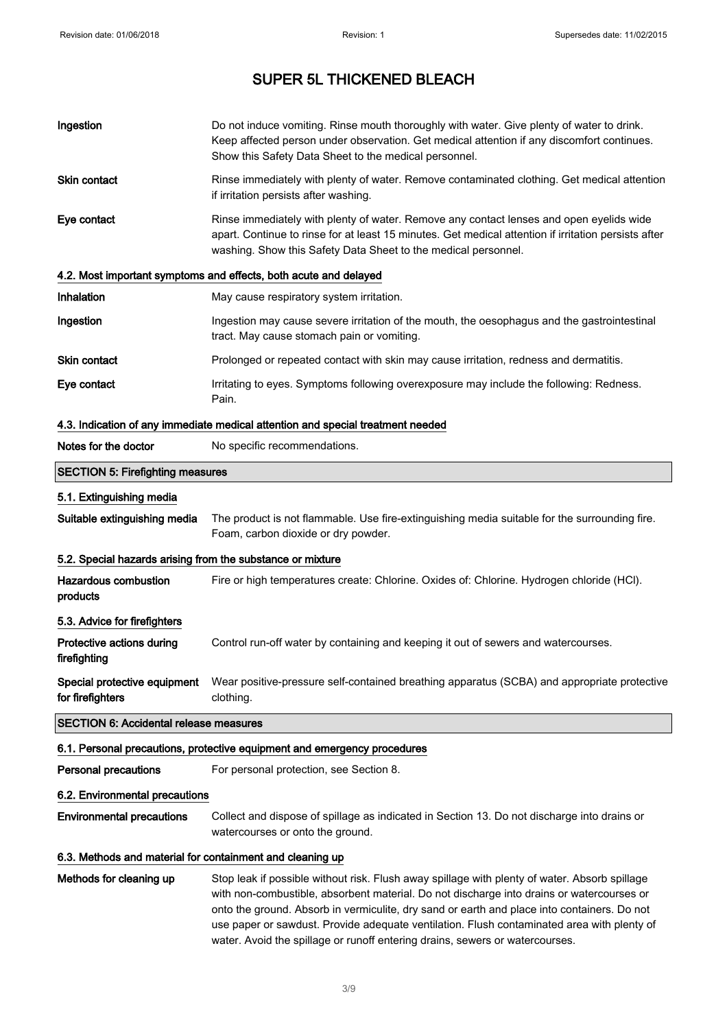| Ingestion                                                  | Do not induce vomiting. Rinse mouth thoroughly with water. Give plenty of water to drink.<br>Keep affected person under observation. Get medical attention if any discomfort continues.<br>Show this Safety Data Sheet to the medical personnel.                  |
|------------------------------------------------------------|-------------------------------------------------------------------------------------------------------------------------------------------------------------------------------------------------------------------------------------------------------------------|
| Skin contact                                               | Rinse immediately with plenty of water. Remove contaminated clothing. Get medical attention<br>if irritation persists after washing.                                                                                                                              |
| Eye contact                                                | Rinse immediately with plenty of water. Remove any contact lenses and open eyelids wide<br>apart. Continue to rinse for at least 15 minutes. Get medical attention if irritation persists after<br>washing. Show this Safety Data Sheet to the medical personnel. |
|                                                            | 4.2. Most important symptoms and effects, both acute and delayed                                                                                                                                                                                                  |
| Inhalation                                                 | May cause respiratory system irritation.                                                                                                                                                                                                                          |
| Ingestion                                                  | Ingestion may cause severe irritation of the mouth, the oesophagus and the gastrointestinal<br>tract. May cause stomach pain or vomiting.                                                                                                                         |
| Skin contact                                               | Prolonged or repeated contact with skin may cause irritation, redness and dermatitis.                                                                                                                                                                             |
| Eye contact                                                | Irritating to eyes. Symptoms following overexposure may include the following: Redness.<br>Pain.                                                                                                                                                                  |
|                                                            | 4.3. Indication of any immediate medical attention and special treatment needed                                                                                                                                                                                   |
| Notes for the doctor                                       | No specific recommendations.                                                                                                                                                                                                                                      |
| <b>SECTION 5: Firefighting measures</b>                    |                                                                                                                                                                                                                                                                   |
| 5.1. Extinguishing media                                   |                                                                                                                                                                                                                                                                   |
| Suitable extinguishing media                               | The product is not flammable. Use fire-extinguishing media suitable for the surrounding fire.<br>Foam, carbon dioxide or dry powder.                                                                                                                              |
| 5.2. Special hazards arising from the substance or mixture |                                                                                                                                                                                                                                                                   |
| <b>Hazardous combustion</b><br>products                    | Fire or high temperatures create: Chlorine. Oxides of: Chlorine. Hydrogen chloride (HCI).                                                                                                                                                                         |
| 5.3. Advice for firefighters                               |                                                                                                                                                                                                                                                                   |
| Protective actions during<br>firefighting                  | Control run-off water by containing and keeping it out of sewers and watercourses.                                                                                                                                                                                |
| Special protective equipment<br>for firefighters           | Wear positive-pressure self-contained breathing apparatus (SCBA) and appropriate protective<br>clothing.                                                                                                                                                          |
| <b>SECTION 6: Accidental release measures</b>              |                                                                                                                                                                                                                                                                   |
|                                                            | 6.1. Personal precautions, protective equipment and emergency procedures                                                                                                                                                                                          |
| <b>Personal precautions</b>                                | For personal protection, see Section 8.                                                                                                                                                                                                                           |
| 6.2. Environmental precautions                             |                                                                                                                                                                                                                                                                   |
| <b>Environmental precautions</b>                           | Collect and dispose of spillage as indicated in Section 13. Do not discharge into drains or<br>watercourses or onto the ground.                                                                                                                                   |
| 6.3. Methods and material for containment and cleaning up  |                                                                                                                                                                                                                                                                   |
| Methods for cleaning up                                    | Stop leak if possible without risk. Flush away spillage with plenty of water. Absorb spillage<br>with non-combustible, absorbent material. Do not discharge into drains or watercourses or                                                                        |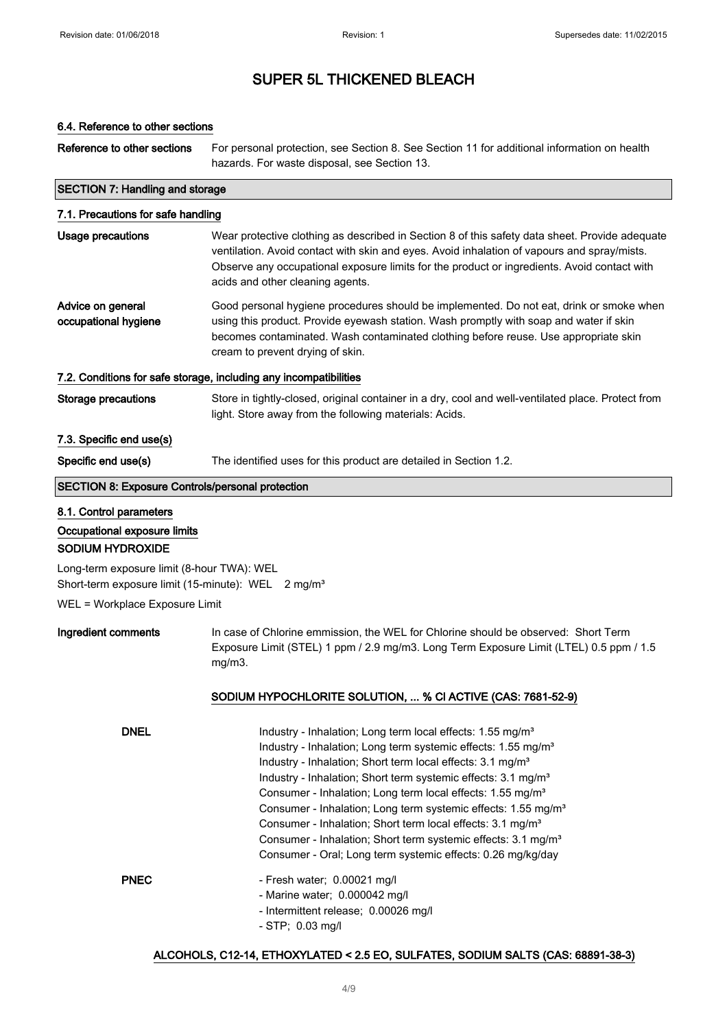### 6.4. Reference to other sections

Reference to other sections For personal protection, see Section 8. See Section 11 for additional information on health hazards. For waste disposal, see Section 13.

#### SECTION 7: Handling and storage

| 7.1. Precautions for safe handling                      |                                                                                                                                                                                                                                                                                                                                  |
|---------------------------------------------------------|----------------------------------------------------------------------------------------------------------------------------------------------------------------------------------------------------------------------------------------------------------------------------------------------------------------------------------|
| Usage precautions                                       | Wear protective clothing as described in Section 8 of this safety data sheet. Provide adequate<br>ventilation. Avoid contact with skin and eyes. Avoid inhalation of vapours and spray/mists.<br>Observe any occupational exposure limits for the product or ingredients. Avoid contact with<br>acids and other cleaning agents. |
| Advice on general<br>occupational hygiene               | Good personal hygiene procedures should be implemented. Do not eat, drink or smoke when<br>using this product. Provide eyewash station. Wash promptly with soap and water if skin<br>becomes contaminated. Wash contaminated clothing before reuse. Use appropriate skin<br>cream to prevent drying of skin.                     |
|                                                         | 7.2. Conditions for safe storage, including any incompatibilities                                                                                                                                                                                                                                                                |
| Storage precautions                                     | Store in tightly-closed, original container in a dry, cool and well-ventilated place. Protect from<br>light. Store away from the following materials: Acids.                                                                                                                                                                     |
| 7.3. Specific end use(s)                                |                                                                                                                                                                                                                                                                                                                                  |
| Specific end use(s)                                     | The identified uses for this product are detailed in Section 1.2.                                                                                                                                                                                                                                                                |
| <b>SECTION 8: Exposure Controls/personal protection</b> |                                                                                                                                                                                                                                                                                                                                  |
|                                                         |                                                                                                                                                                                                                                                                                                                                  |

- 8.1. Control parameters
- Occupational exposure limits

#### SODIUM HYDROXIDE

Long-term exposure limit (8-hour TWA): WEL Short-term exposure limit (15-minute): WEL 2 mg/m<sup>3</sup>

WEL = Workplace Exposure Limit

Ingredient comments In case of Chlorine emmission, the WEL for Chlorine should be observed: Short Term Exposure Limit (STEL) 1 ppm / 2.9 mg/m3. Long Term Exposure Limit (LTEL) 0.5 ppm / 1.5 mg/m3.

#### SODIUM HYPOCHLORITE SOLUTION, ... % Cl ACTIVE (CAS: 7681-52-9)

| <b>DNEL</b> | Industry - Inhalation; Long term local effects: 1.55 mg/m <sup>3</sup><br>Industry - Inhalation; Long term systemic effects: 1.55 mg/m <sup>3</sup><br>Industry - Inhalation; Short term local effects: 3.1 mg/m <sup>3</sup><br>Industry - Inhalation: Short term systemic effects: 3.1 mg/m <sup>3</sup><br>Consumer - Inhalation; Long term local effects: 1.55 mg/m <sup>3</sup><br>Consumer - Inhalation; Long term systemic effects: 1.55 mg/m <sup>3</sup><br>Consumer - Inhalation; Short term local effects: 3.1 mg/m <sup>3</sup><br>Consumer - Inhalation; Short term systemic effects: 3.1 mg/m <sup>3</sup><br>Consumer - Oral; Long term systemic effects: 0.26 mg/kg/day |
|-------------|-----------------------------------------------------------------------------------------------------------------------------------------------------------------------------------------------------------------------------------------------------------------------------------------------------------------------------------------------------------------------------------------------------------------------------------------------------------------------------------------------------------------------------------------------------------------------------------------------------------------------------------------------------------------------------------------|
| <b>PNEC</b> | - Fresh water: $0.00021$ mg/l<br>- Marine water; $0.000042$ mg/l<br>- Intermittent release; 0.00026 mg/l<br>$-$ STP; 0.03 mg/l                                                                                                                                                                                                                                                                                                                                                                                                                                                                                                                                                          |

### ALCOHOLS, C12-14, ETHOXYLATED < 2.5 EO, SULFATES, SODIUM SALTS (CAS: 68891-38-3)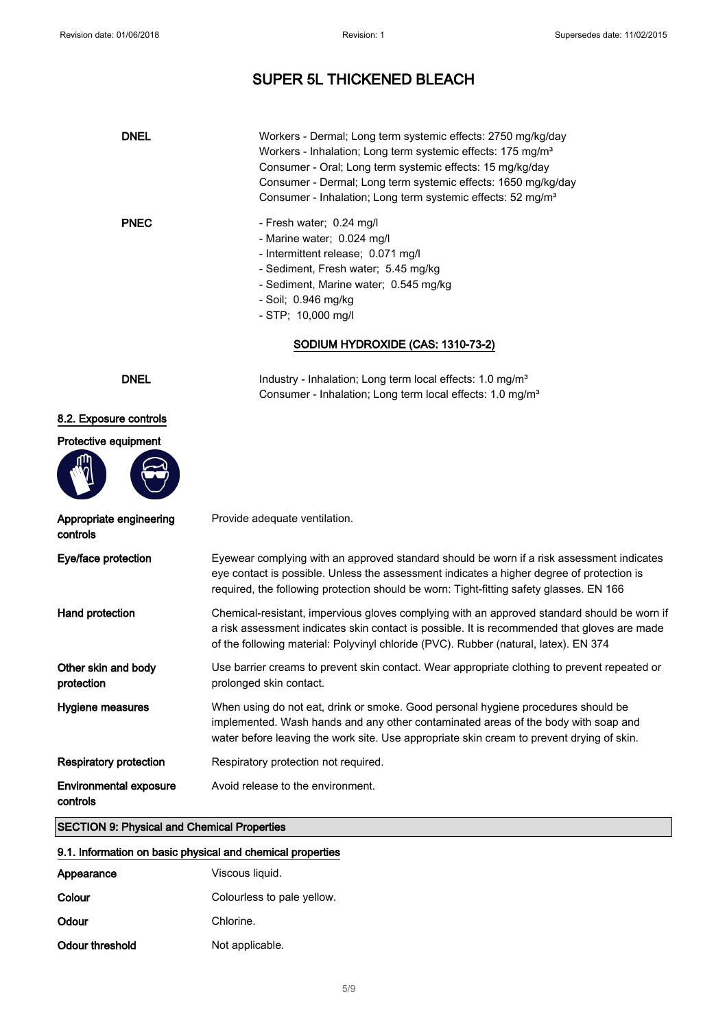| <b>DNEL</b><br><b>PNEC</b>                         | Workers - Dermal; Long term systemic effects: 2750 mg/kg/day<br>Workers - Inhalation; Long term systemic effects: 175 mg/m <sup>3</sup><br>Consumer - Oral; Long term systemic effects: 15 mg/kg/day<br>Consumer - Dermal; Long term systemic effects: 1650 mg/kg/day<br>Consumer - Inhalation; Long term systemic effects: 52 mg/m <sup>3</sup><br>- Fresh water; 0.24 mg/l<br>- Marine water; 0.024 mg/l<br>- Intermittent release; 0.071 mg/l<br>- Sediment, Fresh water; 5.45 mg/kg<br>- Sediment, Marine water; 0.545 mg/kg<br>- Soil; 0.946 mg/kg<br>$-$ STP; 10,000 mg/l |
|----------------------------------------------------|---------------------------------------------------------------------------------------------------------------------------------------------------------------------------------------------------------------------------------------------------------------------------------------------------------------------------------------------------------------------------------------------------------------------------------------------------------------------------------------------------------------------------------------------------------------------------------|
|                                                    | SODIUM HYDROXIDE (CAS: 1310-73-2)                                                                                                                                                                                                                                                                                                                                                                                                                                                                                                                                               |
| <b>DNEL</b>                                        | Industry - Inhalation; Long term local effects: 1.0 mg/m <sup>3</sup><br>Consumer - Inhalation; Long term local effects: 1.0 mg/m <sup>3</sup>                                                                                                                                                                                                                                                                                                                                                                                                                                  |
| 8.2. Exposure controls                             |                                                                                                                                                                                                                                                                                                                                                                                                                                                                                                                                                                                 |
| Protective equipment                               |                                                                                                                                                                                                                                                                                                                                                                                                                                                                                                                                                                                 |
| Appropriate engineering<br>controls                | Provide adequate ventilation.                                                                                                                                                                                                                                                                                                                                                                                                                                                                                                                                                   |
| Eye/face protection                                | Eyewear complying with an approved standard should be worn if a risk assessment indicates<br>eye contact is possible. Unless the assessment indicates a higher degree of protection is<br>required, the following protection should be worn: Tight-fitting safety glasses. EN 166                                                                                                                                                                                                                                                                                               |
| Hand protection                                    | Chemical-resistant, impervious gloves complying with an approved standard should be worn if<br>a risk assessment indicates skin contact is possible. It is recommended that gloves are made<br>of the following material: Polyvinyl chloride (PVC). Rubber (natural, latex). EN 374                                                                                                                                                                                                                                                                                             |
| Other skin and body<br>protection                  | Use barrier creams to prevent skin contact. Wear appropriate clothing to prevent repeated or<br>prolonged skin contact.                                                                                                                                                                                                                                                                                                                                                                                                                                                         |
| Hygiene measures                                   | When using do not eat, drink or smoke. Good personal hygiene procedures should be<br>implemented. Wash hands and any other contaminated areas of the body with soap and<br>water before leaving the work site. Use appropriate skin cream to prevent drying of skin.                                                                                                                                                                                                                                                                                                            |
| <b>Respiratory protection</b>                      | Respiratory protection not required.                                                                                                                                                                                                                                                                                                                                                                                                                                                                                                                                            |
| <b>Environmental exposure</b><br>controls          | Avoid release to the environment.                                                                                                                                                                                                                                                                                                                                                                                                                                                                                                                                               |
| <b>SECTION 9: Physical and Chemical Properties</b> |                                                                                                                                                                                                                                                                                                                                                                                                                                                                                                                                                                                 |

### 9.1. Information on basic physical and chemical properties

| Appearance      | Viscous liquid.            |
|-----------------|----------------------------|
|                 |                            |
| Colour          | Colourless to pale yellow. |
| Odour           | Chlorine.                  |
| Odour threshold | Not applicable.            |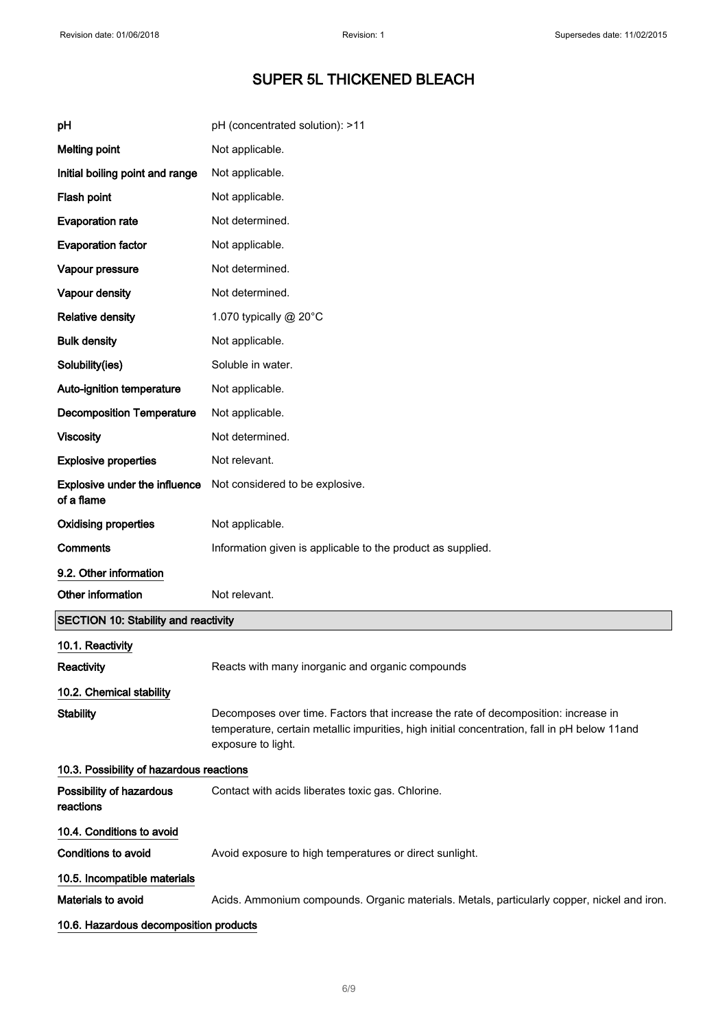| рH                                                 | pH (concentrated solution): >11                                                                                                                                                                          |
|----------------------------------------------------|----------------------------------------------------------------------------------------------------------------------------------------------------------------------------------------------------------|
| <b>Melting point</b>                               | Not applicable.                                                                                                                                                                                          |
| Initial boiling point and range                    | Not applicable.                                                                                                                                                                                          |
| Flash point                                        | Not applicable.                                                                                                                                                                                          |
| <b>Evaporation rate</b>                            | Not determined.                                                                                                                                                                                          |
| <b>Evaporation factor</b>                          | Not applicable.                                                                                                                                                                                          |
| Vapour pressure                                    | Not determined.                                                                                                                                                                                          |
| Vapour density                                     | Not determined.                                                                                                                                                                                          |
| <b>Relative density</b>                            | 1.070 typically @ 20°C                                                                                                                                                                                   |
| <b>Bulk density</b>                                | Not applicable.                                                                                                                                                                                          |
| Solubility(ies)                                    | Soluble in water.                                                                                                                                                                                        |
| Auto-ignition temperature                          | Not applicable.                                                                                                                                                                                          |
| <b>Decomposition Temperature</b>                   | Not applicable.                                                                                                                                                                                          |
| <b>Viscosity</b>                                   | Not determined.                                                                                                                                                                                          |
| <b>Explosive properties</b>                        | Not relevant.                                                                                                                                                                                            |
| <b>Explosive under the influence</b><br>of a flame | Not considered to be explosive.                                                                                                                                                                          |
| <b>Oxidising properties</b>                        | Not applicable.                                                                                                                                                                                          |
| Comments                                           | Information given is applicable to the product as supplied.                                                                                                                                              |
| 9.2. Other information                             |                                                                                                                                                                                                          |
| Other information                                  | Not relevant.                                                                                                                                                                                            |
| <b>SECTION 10: Stability and reactivity</b>        |                                                                                                                                                                                                          |
| 10.1. Reactivity                                   |                                                                                                                                                                                                          |
| Reactivity                                         | Reacts with many inorganic and organic compounds                                                                                                                                                         |
| 10.2. Chemical stability                           |                                                                                                                                                                                                          |
| <b>Stability</b>                                   | Decomposes over time. Factors that increase the rate of decomposition: increase in<br>temperature, certain metallic impurities, high initial concentration, fall in pH below 11and<br>exposure to light. |
| 10.3. Possibility of hazardous reactions           |                                                                                                                                                                                                          |
| Possibility of hazardous<br>reactions              | Contact with acids liberates toxic gas. Chlorine.                                                                                                                                                        |
| 10.4. Conditions to avoid                          |                                                                                                                                                                                                          |
| <b>Conditions to avoid</b>                         | Avoid exposure to high temperatures or direct sunlight.                                                                                                                                                  |
| 10.5. Incompatible materials                       |                                                                                                                                                                                                          |
| Materials to avoid                                 | Acids. Ammonium compounds. Organic materials. Metals, particularly copper, nickel and iron.                                                                                                              |
| 10.6. Hazardous decomposition products             |                                                                                                                                                                                                          |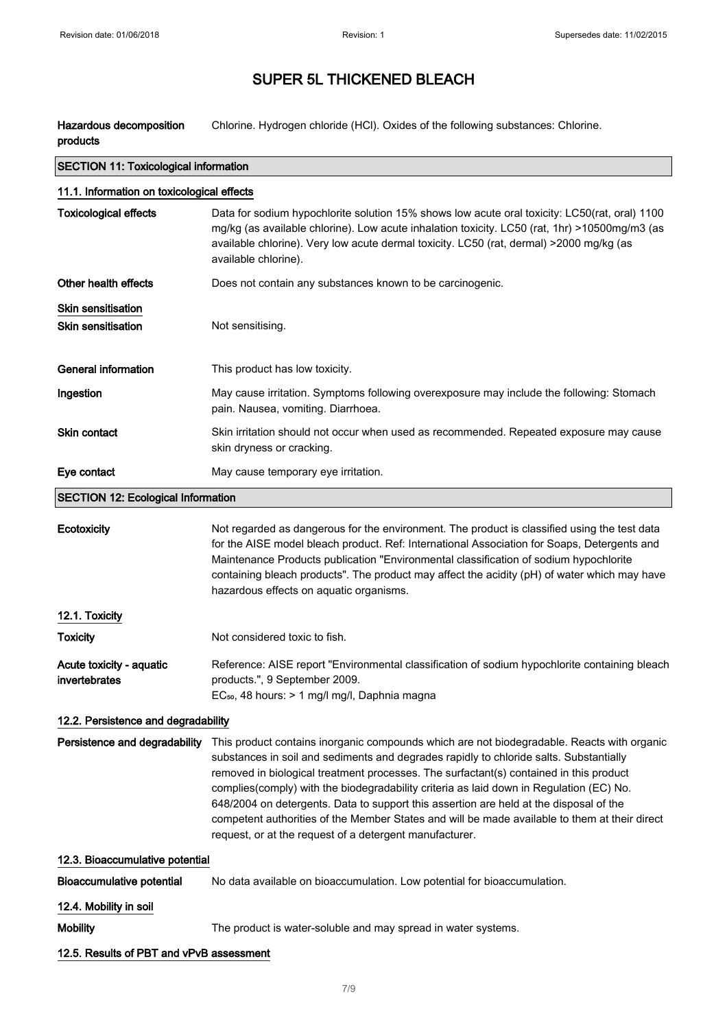Hazardous decomposition products Chlorine. Hydrogen chloride (HCl). Oxides of the following substances: Chlorine.

| <b>SECTION 11: Toxicological information</b>           |                                                                                                                                                                                                                                                                                                                                                                                                                                                                                                                                                                                                                                 |  |
|--------------------------------------------------------|---------------------------------------------------------------------------------------------------------------------------------------------------------------------------------------------------------------------------------------------------------------------------------------------------------------------------------------------------------------------------------------------------------------------------------------------------------------------------------------------------------------------------------------------------------------------------------------------------------------------------------|--|
| 11.1. Information on toxicological effects             |                                                                                                                                                                                                                                                                                                                                                                                                                                                                                                                                                                                                                                 |  |
| <b>Toxicological effects</b>                           | Data for sodium hypochlorite solution 15% shows low acute oral toxicity: LC50(rat, oral) 1100<br>mg/kg (as available chlorine). Low acute inhalation toxicity. LC50 (rat, 1hr) >10500mg/m3 (as<br>available chlorine). Very low acute dermal toxicity. LC50 (rat, dermal) >2000 mg/kg (as<br>available chlorine).                                                                                                                                                                                                                                                                                                               |  |
| Other health effects                                   | Does not contain any substances known to be carcinogenic.                                                                                                                                                                                                                                                                                                                                                                                                                                                                                                                                                                       |  |
| <b>Skin sensitisation</b><br><b>Skin sensitisation</b> | Not sensitising.                                                                                                                                                                                                                                                                                                                                                                                                                                                                                                                                                                                                                |  |
| <b>General information</b>                             | This product has low toxicity.                                                                                                                                                                                                                                                                                                                                                                                                                                                                                                                                                                                                  |  |
| Ingestion                                              | May cause irritation. Symptoms following overexposure may include the following: Stomach<br>pain. Nausea, vomiting. Diarrhoea.                                                                                                                                                                                                                                                                                                                                                                                                                                                                                                  |  |
| <b>Skin contact</b>                                    | Skin irritation should not occur when used as recommended. Repeated exposure may cause<br>skin dryness or cracking.                                                                                                                                                                                                                                                                                                                                                                                                                                                                                                             |  |
| Eye contact                                            | May cause temporary eye irritation.                                                                                                                                                                                                                                                                                                                                                                                                                                                                                                                                                                                             |  |
| <b>SECTION 12: Ecological Information</b>              |                                                                                                                                                                                                                                                                                                                                                                                                                                                                                                                                                                                                                                 |  |
| Ecotoxicity                                            | Not regarded as dangerous for the environment. The product is classified using the test data<br>for the AISE model bleach product. Ref: International Association for Soaps, Detergents and<br>Maintenance Products publication "Environmental classification of sodium hypochlorite<br>containing bleach products". The product may affect the acidity (pH) of water which may have<br>hazardous effects on aquatic organisms.                                                                                                                                                                                                 |  |
| 12.1. Toxicity                                         |                                                                                                                                                                                                                                                                                                                                                                                                                                                                                                                                                                                                                                 |  |
| <b>Toxicity</b>                                        | Not considered toxic to fish.                                                                                                                                                                                                                                                                                                                                                                                                                                                                                                                                                                                                   |  |
| Acute toxicity - aquatic<br>invertebrates              | Reference: AISE report "Environmental classification of sodium hypochlorite containing bleach<br>products.", 9 September 2009.<br>EC <sub>50</sub> , 48 hours: > 1 mg/l mg/l, Daphnia magna                                                                                                                                                                                                                                                                                                                                                                                                                                     |  |
| 12.2. Persistence and degradability                    |                                                                                                                                                                                                                                                                                                                                                                                                                                                                                                                                                                                                                                 |  |
| Persistence and degradability                          | This product contains inorganic compounds which are not biodegradable. Reacts with organic<br>substances in soil and sediments and degrades rapidly to chloride salts. Substantially<br>removed in biological treatment processes. The surfactant(s) contained in this product<br>complies(comply) with the biodegradability criteria as laid down in Regulation (EC) No.<br>648/2004 on detergents. Data to support this assertion are held at the disposal of the<br>competent authorities of the Member States and will be made available to them at their direct<br>request, or at the request of a detergent manufacturer. |  |
| 12.3. Bioaccumulative potential                        |                                                                                                                                                                                                                                                                                                                                                                                                                                                                                                                                                                                                                                 |  |
| <b>Bioaccumulative potential</b>                       | No data available on bioaccumulation. Low potential for bioaccumulation.                                                                                                                                                                                                                                                                                                                                                                                                                                                                                                                                                        |  |
| 12.4. Mobility in soil                                 |                                                                                                                                                                                                                                                                                                                                                                                                                                                                                                                                                                                                                                 |  |
| <b>Mobility</b>                                        | The product is water-soluble and may spread in water systems.                                                                                                                                                                                                                                                                                                                                                                                                                                                                                                                                                                   |  |
| 12.5. Results of PBT and vPvB assessment               |                                                                                                                                                                                                                                                                                                                                                                                                                                                                                                                                                                                                                                 |  |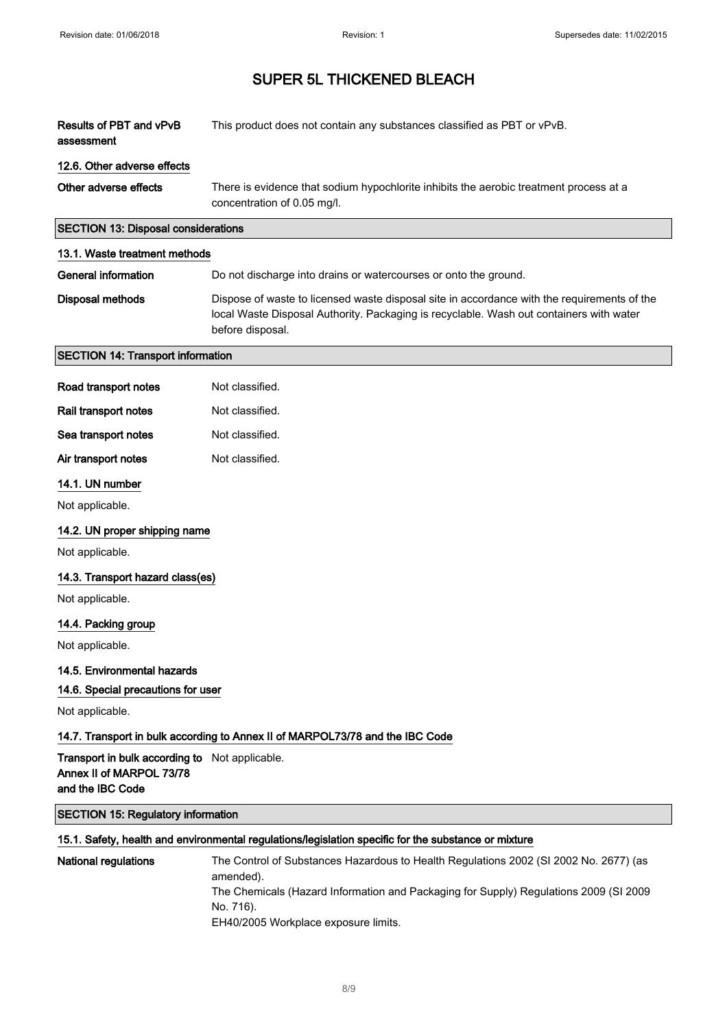| Results of PBT and vPvB<br>assessment                                                                 | This product does not contain any substances classified as PBT or vPvB.                                                                                                                                    |
|-------------------------------------------------------------------------------------------------------|------------------------------------------------------------------------------------------------------------------------------------------------------------------------------------------------------------|
| 12.6. Other adverse effects                                                                           |                                                                                                                                                                                                            |
| Other adverse effects                                                                                 | There is evidence that sodium hypochlorite inhibits the aerobic treatment process at a<br>concentration of 0.05 mg/l.                                                                                      |
| <b>SECTION 13: Disposal considerations</b>                                                            |                                                                                                                                                                                                            |
| 13.1. Waste treatment methods                                                                         |                                                                                                                                                                                                            |
| <b>General information</b>                                                                            | Do not discharge into drains or watercourses or onto the ground.                                                                                                                                           |
| Disposal methods                                                                                      | Dispose of waste to licensed waste disposal site in accordance with the requirements of the<br>local Waste Disposal Authority. Packaging is recyclable. Wash out containers with water<br>before disposal. |
| <b>SECTION 14: Transport information</b>                                                              |                                                                                                                                                                                                            |
| Road transport notes                                                                                  | Not classified.                                                                                                                                                                                            |
| Rail transport notes                                                                                  | Not classified.                                                                                                                                                                                            |
| Sea transport notes                                                                                   | Not classified.                                                                                                                                                                                            |
| Air transport notes                                                                                   | Not classified.                                                                                                                                                                                            |
| 14.1. UN number                                                                                       |                                                                                                                                                                                                            |
| Not applicable.                                                                                       |                                                                                                                                                                                                            |
| 14.2. UN proper shipping name                                                                         |                                                                                                                                                                                                            |
| Not applicable.                                                                                       |                                                                                                                                                                                                            |
| 14.3. Transport hazard class(es)                                                                      |                                                                                                                                                                                                            |
| Not applicable.                                                                                       |                                                                                                                                                                                                            |
| 14.4. Packing group                                                                                   |                                                                                                                                                                                                            |
| Not applicable.                                                                                       |                                                                                                                                                                                                            |
| 14.5. Environmental hazards                                                                           |                                                                                                                                                                                                            |
| 14.6. Special precautions for user                                                                    |                                                                                                                                                                                                            |
| Not applicable.                                                                                       |                                                                                                                                                                                                            |
|                                                                                                       | 14.7. Transport in bulk according to Annex II of MARPOL73/78 and the IBC Code                                                                                                                              |
| <b>Transport in bulk according to</b> Not applicable.<br>Annex II of MARPOL 73/78<br>and the IBC Code |                                                                                                                                                                                                            |
| <b>SECTION 15: Regulatory information</b>                                                             |                                                                                                                                                                                                            |
|                                                                                                       | 15.1. Safety, health and environmental regulations/legislation specific for the substance or mixture                                                                                                       |
| <b>National regulations</b>                                                                           | The Control of Substances Hazardous to Health Regulations 2002 (SI 2002 No. 2677) (as<br>amended).<br>The Chemicals (Hazard Information and Packaging for Supply) Regulations 2009 (SI 2009                |

No. 716).

EH40/2005 Workplace exposure limits.